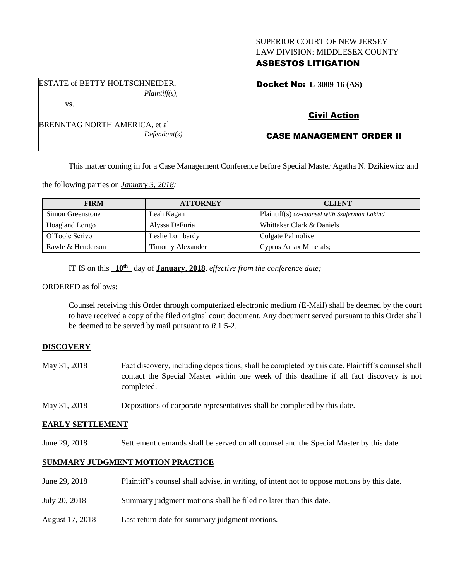# SUPERIOR COURT OF NEW JERSEY LAW DIVISION: MIDDLESEX COUNTY

# ASBESTOS LITIGATION

Docket No: **L-3009-16 (AS)** 

# Civil Action

# CASE MANAGEMENT ORDER II

This matter coming in for a Case Management Conference before Special Master Agatha N. Dzikiewicz and

the following parties on *January 3, 2018:*

| <b>FIRM</b>       | <b>ATTORNEY</b>          | <b>CLIENT</b>                                 |
|-------------------|--------------------------|-----------------------------------------------|
| Simon Greenstone  | Leah Kagan               | Plaintiff(s) co-counsel with Szaferman Lakind |
| Hoagland Longo    | Alyssa DeFuria           | Whittaker Clark & Daniels                     |
| O'Toole Scrivo    | Leslie Lombardy          | Colgate Palmolive                             |
| Rawle & Henderson | <b>Timothy Alexander</b> | Cyprus Amax Minerals;                         |

IT IS on this **10th** day of **January, 2018**, *effective from the conference date;*

ORDERED as follows:

Counsel receiving this Order through computerized electronic medium (E-Mail) shall be deemed by the court to have received a copy of the filed original court document. Any document served pursuant to this Order shall be deemed to be served by mail pursuant to *R*.1:5-2.

## **DISCOVERY**

- May 31, 2018 Fact discovery, including depositions, shall be completed by this date. Plaintiff's counsel shall contact the Special Master within one week of this deadline if all fact discovery is not completed.
- May 31, 2018 Depositions of corporate representatives shall be completed by this date.

## **EARLY SETTLEMENT**

June 29, 2018 Settlement demands shall be served on all counsel and the Special Master by this date.

## **SUMMARY JUDGMENT MOTION PRACTICE**

- June 29, 2018 Plaintiff's counsel shall advise, in writing, of intent not to oppose motions by this date.
- July 20, 2018 Summary judgment motions shall be filed no later than this date.
- August 17, 2018 Last return date for summary judgment motions.

ESTATE of BETTY HOLTSCHNEIDER, *Plaintiff(s),* vs.

BRENNTAG NORTH AMERICA, et al *Defendant(s).*